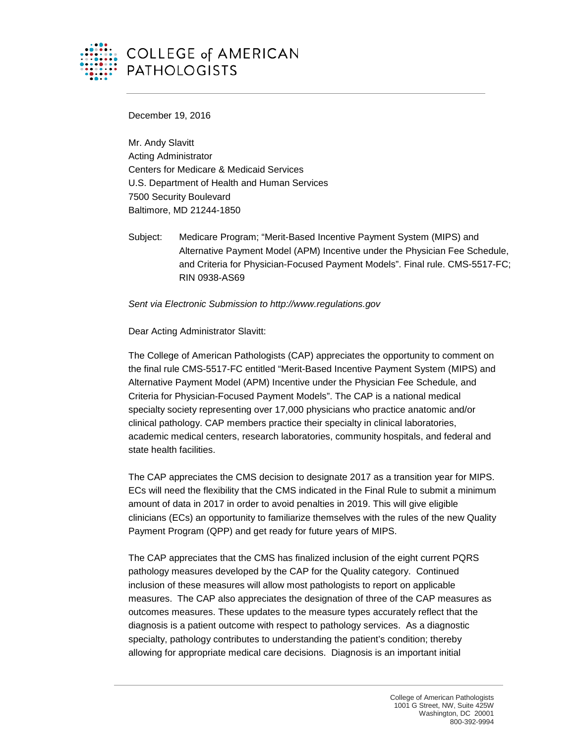

# **COLLEGE of AMERICAN PATHOLOGISTS**

December 19, 2016

Mr. Andy Slavitt Acting Administrator Centers for Medicare & Medicaid Services U.S. Department of Health and Human Services 7500 Security Boulevard Baltimore, MD 21244-1850

Subject: Medicare Program; "Merit-Based Incentive Payment System (MIPS) and Alternative Payment Model (APM) Incentive under the Physician Fee Schedule, and Criteria for Physician-Focused Payment Models". Final rule. CMS-5517-FC; RIN 0938-AS69

*Sent via Electronic Submission to http://www.regulations.gov*

Dear Acting Administrator Slavitt:

The College of American Pathologists (CAP) appreciates the opportunity to comment on the final rule CMS-5517-FC entitled "Merit-Based Incentive Payment System (MIPS) and Alternative Payment Model (APM) Incentive under the Physician Fee Schedule, and Criteria for Physician-Focused Payment Models". The CAP is a national medical specialty society representing over 17,000 physicians who practice anatomic and/or clinical pathology. CAP members practice their specialty in clinical laboratories, academic medical centers, research laboratories, community hospitals, and federal and state health facilities.

The CAP appreciates the CMS decision to designate 2017 as a transition year for MIPS. ECs will need the flexibility that the CMS indicated in the Final Rule to submit a minimum amount of data in 2017 in order to avoid penalties in 2019. This will give eligible clinicians (ECs) an opportunity to familiarize themselves with the rules of the new Quality Payment Program (QPP) and get ready for future years of MIPS.

The CAP appreciates that the CMS has finalized inclusion of the eight current PQRS pathology measures developed by the CAP for the Quality category. Continued inclusion of these measures will allow most pathologists to report on applicable measures. The CAP also appreciates the designation of three of the CAP measures as outcomes measures. These updates to the measure types accurately reflect that the diagnosis is a patient outcome with respect to pathology services. As a diagnostic specialty, pathology contributes to understanding the patient's condition; thereby allowing for appropriate medical care decisions. Diagnosis is an important initial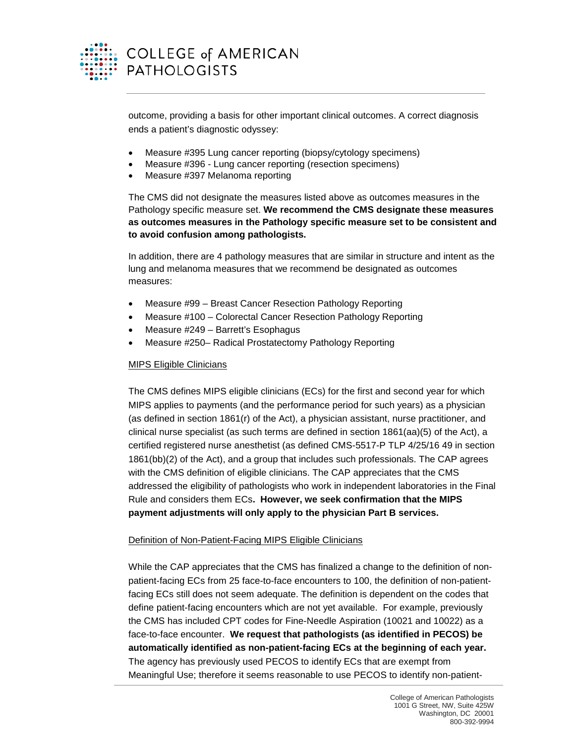

outcome, providing a basis for other important clinical outcomes. A correct diagnosis ends a patient's diagnostic odyssey:

- Measure #395 Lung cancer reporting (biopsy/cytology specimens)
- Measure #396 Lung cancer reporting (resection specimens)
- Measure #397 Melanoma reporting

The CMS did not designate the measures listed above as outcomes measures in the Pathology specific measure set. **We recommend the CMS designate these measures as outcomes measures in the Pathology specific measure set to be consistent and to avoid confusion among pathologists.**

In addition, there are 4 pathology measures that are similar in structure and intent as the lung and melanoma measures that we recommend be designated as outcomes measures:

- Measure #99 Breast Cancer Resection Pathology Reporting
- Measure #100 Colorectal Cancer Resection Pathology Reporting
- Measure #249 Barrett's Esophagus
- Measure #250– Radical Prostatectomy Pathology Reporting

#### MIPS Eligible Clinicians

The CMS defines MIPS eligible clinicians (ECs) for the first and second year for which MIPS applies to payments (and the performance period for such years) as a physician (as defined in section 1861(r) of the Act), a physician assistant, nurse practitioner, and clinical nurse specialist (as such terms are defined in section 1861(aa)(5) of the Act), a certified registered nurse anesthetist (as defined CMS-5517-P TLP 4/25/16 49 in section 1861(bb)(2) of the Act), and a group that includes such professionals. The CAP agrees with the CMS definition of eligible clinicians. The CAP appreciates that the CMS addressed the eligibility of pathologists who work in independent laboratories in the Final Rule and considers them ECs**. However, we seek confirmation that the MIPS payment adjustments will only apply to the physician Part B services.**

## Definition of Non-Patient-Facing MIPS Eligible Clinicians

While the CAP appreciates that the CMS has finalized a change to the definition of nonpatient-facing ECs from 25 face-to-face encounters to 100, the definition of non-patientfacing ECs still does not seem adequate. The definition is dependent on the codes that define patient-facing encounters which are not yet available. For example, previously the CMS has included CPT codes for Fine-Needle Aspiration (10021 and 10022) as a face-to-face encounter. **We request that pathologists (as identified in PECOS) be automatically identified as non-patient-facing ECs at the beginning of each year.** The agency has previously used PECOS to identify ECs that are exempt from Meaningful Use; therefore it seems reasonable to use PECOS to identify non-patient-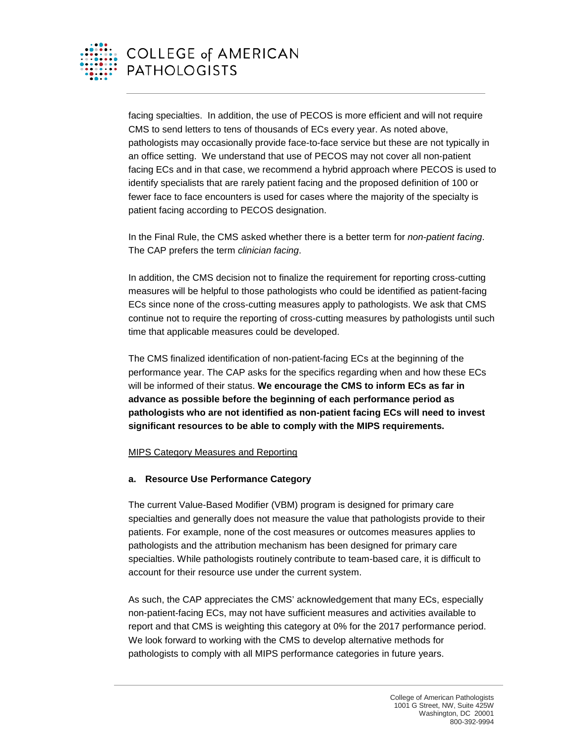

facing specialties. In addition, the use of PECOS is more efficient and will not require CMS to send letters to tens of thousands of ECs every year. As noted above, pathologists may occasionally provide face-to-face service but these are not typically in an office setting. We understand that use of PECOS may not cover all non-patient facing ECs and in that case, we recommend a hybrid approach where PECOS is used to identify specialists that are rarely patient facing and the proposed definition of 100 or fewer face to face encounters is used for cases where the majority of the specialty is patient facing according to PECOS designation.

In the Final Rule, the CMS asked whether there is a better term for *non-patient facing*. The CAP prefers the term *clinician facing*.

In addition, the CMS decision not to finalize the requirement for reporting cross-cutting measures will be helpful to those pathologists who could be identified as patient-facing ECs since none of the cross-cutting measures apply to pathologists. We ask that CMS continue not to require the reporting of cross-cutting measures by pathologists until such time that applicable measures could be developed.

The CMS finalized identification of non-patient-facing ECs at the beginning of the performance year. The CAP asks for the specifics regarding when and how these ECs will be informed of their status. **We encourage the CMS to inform ECs as far in advance as possible before the beginning of each performance period as pathologists who are not identified as non-patient facing ECs will need to invest significant resources to be able to comply with the MIPS requirements.**

## MIPS Category Measures and Reporting

## **a. Resource Use Performance Category**

The current Value-Based Modifier (VBM) program is designed for primary care specialties and generally does not measure the value that pathologists provide to their patients. For example, none of the cost measures or outcomes measures applies to pathologists and the attribution mechanism has been designed for primary care specialties. While pathologists routinely contribute to team-based care, it is difficult to account for their resource use under the current system.

As such, the CAP appreciates the CMS' acknowledgement that many ECs, especially non-patient-facing ECs, may not have sufficient measures and activities available to report and that CMS is weighting this category at 0% for the 2017 performance period. We look forward to working with the CMS to develop alternative methods for pathologists to comply with all MIPS performance categories in future years.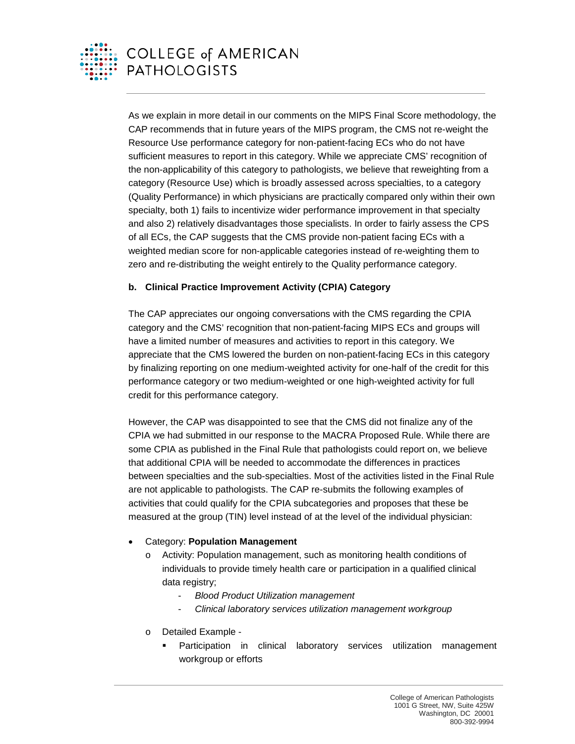

As we explain in more detail in our comments on the MIPS Final Score methodology, the CAP recommends that in future years of the MIPS program, the CMS not re-weight the Resource Use performance category for non-patient-facing ECs who do not have sufficient measures to report in this category. While we appreciate CMS' recognition of the non-applicability of this category to pathologists, we believe that reweighting from a category (Resource Use) which is broadly assessed across specialties, to a category (Quality Performance) in which physicians are practically compared only within their own specialty, both 1) fails to incentivize wider performance improvement in that specialty and also 2) relatively disadvantages those specialists. In order to fairly assess the CPS of all ECs, the CAP suggests that the CMS provide non-patient facing ECs with a weighted median score for non-applicable categories instead of re-weighting them to zero and re-distributing the weight entirely to the Quality performance category.

## **b. Clinical Practice Improvement Activity (CPIA) Category**

The CAP appreciates our ongoing conversations with the CMS regarding the CPIA category and the CMS' recognition that non-patient-facing MIPS ECs and groups will have a limited number of measures and activities to report in this category. We appreciate that the CMS lowered the burden on non-patient-facing ECs in this category by finalizing reporting on one medium-weighted activity for one-half of the credit for this performance category or two medium-weighted or one high-weighted activity for full credit for this performance category.

However, the CAP was disappointed to see that the CMS did not finalize any of the CPIA we had submitted in our response to the MACRA Proposed Rule. While there are some CPIA as published in the Final Rule that pathologists could report on, we believe that additional CPIA will be needed to accommodate the differences in practices between specialties and the sub-specialties. Most of the activities listed in the Final Rule are not applicable to pathologists. The CAP re-submits the following examples of activities that could qualify for the CPIA subcategories and proposes that these be measured at the group (TIN) level instead of at the level of the individual physician:

## • Category: **Population Management**

- Activity: Population management, such as monitoring health conditions of individuals to provide timely health care or participation in a qualified clinical data registry;
	- *Blood Product Utilization management*
	- *Clinical laboratory services utilization management workgroup*
- o Detailed Example
	- Participation in clinical laboratory services utilization management workgroup or efforts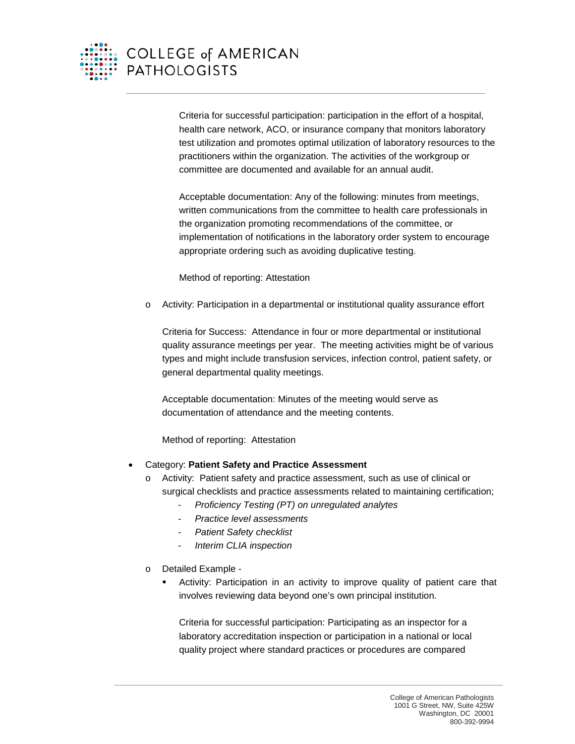

Criteria for successful participation: participation in the effort of a hospital, health care network, ACO, or insurance company that monitors laboratory test utilization and promotes optimal utilization of laboratory resources to the practitioners within the organization. The activities of the workgroup or committee are documented and available for an annual audit.

Acceptable documentation: Any of the following: minutes from meetings, written communications from the committee to health care professionals in the organization promoting recommendations of the committee, or implementation of notifications in the laboratory order system to encourage appropriate ordering such as avoiding duplicative testing.

Method of reporting: Attestation

o Activity: Participation in a departmental or institutional quality assurance effort

Criteria for Success: Attendance in four or more departmental or institutional quality assurance meetings per year. The meeting activities might be of various types and might include transfusion services, infection control, patient safety, or general departmental quality meetings.

Acceptable documentation: Minutes of the meeting would serve as documentation of attendance and the meeting contents.

Method of reporting: Attestation

- Category: **Patient Safety and Practice Assessment**
	- o Activity: Patient safety and practice assessment, such as use of clinical or surgical checklists and practice assessments related to maintaining certification;
		- *Proficiency Testing (PT) on unregulated analytes*
		- *Practice level assessments*
		- *Patient Safety checklist*
		- *Interim CLIA inspection*
	- o Detailed Example
		- Activity: Participation in an activity to improve quality of patient care that involves reviewing data beyond one's own principal institution.

Criteria for successful participation: Participating as an inspector for a laboratory accreditation inspection or participation in a national or local quality project where standard practices or procedures are compared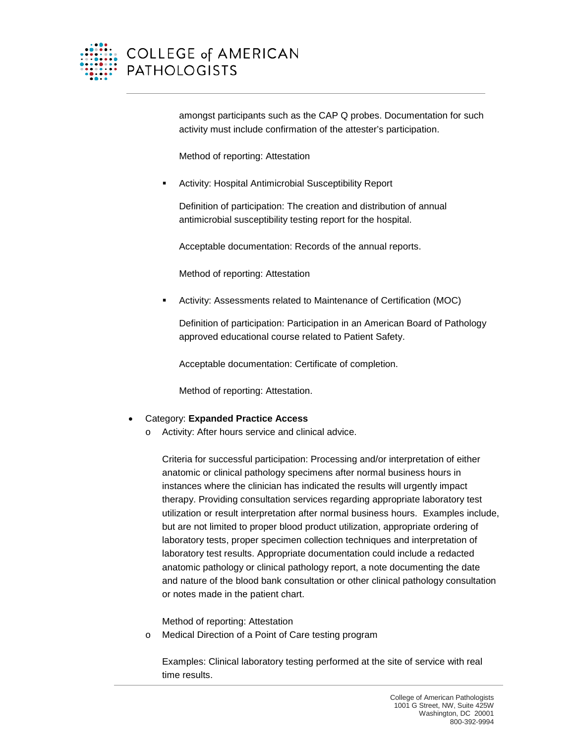

amongst participants such as the CAP Q probes. Documentation for such activity must include confirmation of the attester's participation.

Method of reporting: Attestation

Activity: Hospital Antimicrobial Susceptibility Report

Definition of participation: The creation and distribution of annual antimicrobial susceptibility testing report for the hospital.

Acceptable documentation: Records of the annual reports.

Method of reporting: Attestation

Activity: Assessments related to Maintenance of Certification (MOC)

Definition of participation: Participation in an American Board of Pathology approved educational course related to Patient Safety.

Acceptable documentation: Certificate of completion.

Method of reporting: Attestation.

## • Category: **Expanded Practice Access**

o Activity: After hours service and clinical advice.

Criteria for successful participation: Processing and/or interpretation of either anatomic or clinical pathology specimens after normal business hours in instances where the clinician has indicated the results will urgently impact therapy. Providing consultation services regarding appropriate laboratory test utilization or result interpretation after normal business hours. Examples include, but are not limited to proper blood product utilization, appropriate ordering of laboratory tests, proper specimen collection techniques and interpretation of laboratory test results. Appropriate documentation could include a redacted anatomic pathology or clinical pathology report, a note documenting the date and nature of the blood bank consultation or other clinical pathology consultation or notes made in the patient chart.

Method of reporting: Attestation

o Medical Direction of a Point of Care testing program

Examples: Clinical laboratory testing performed at the site of service with real time results.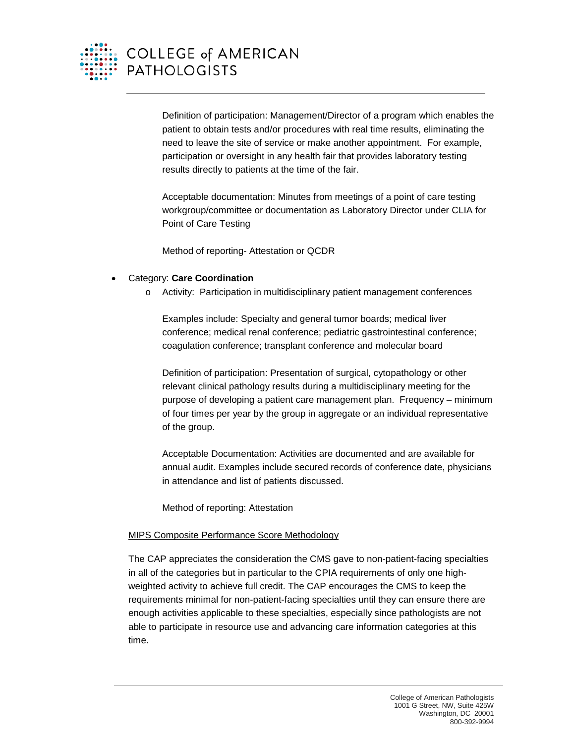

Definition of participation: Management/Director of a program which enables the patient to obtain tests and/or procedures with real time results, eliminating the need to leave the site of service or make another appointment. For example, participation or oversight in any health fair that provides laboratory testing results directly to patients at the time of the fair.

Acceptable documentation: Minutes from meetings of a point of care testing workgroup/committee or documentation as Laboratory Director under CLIA for Point of Care Testing

Method of reporting- Attestation or QCDR

- Category: **Care Coordination**
	- o Activity: Participation in multidisciplinary patient management conferences

Examples include: Specialty and general tumor boards; medical liver conference; medical renal conference; pediatric gastrointestinal conference; coagulation conference; transplant conference and molecular board

Definition of participation: Presentation of surgical, cytopathology or other relevant clinical pathology results during a multidisciplinary meeting for the purpose of developing a patient care management plan. Frequency – minimum of four times per year by the group in aggregate or an individual representative of the group.

Acceptable Documentation: Activities are documented and are available for annual audit. Examples include secured records of conference date, physicians in attendance and list of patients discussed.

Method of reporting: Attestation

## MIPS Composite Performance Score Methodology

The CAP appreciates the consideration the CMS gave to non-patient-facing specialties in all of the categories but in particular to the CPIA requirements of only one highweighted activity to achieve full credit. The CAP encourages the CMS to keep the requirements minimal for non-patient-facing specialties until they can ensure there are enough activities applicable to these specialties, especially since pathologists are not able to participate in resource use and advancing care information categories at this time.